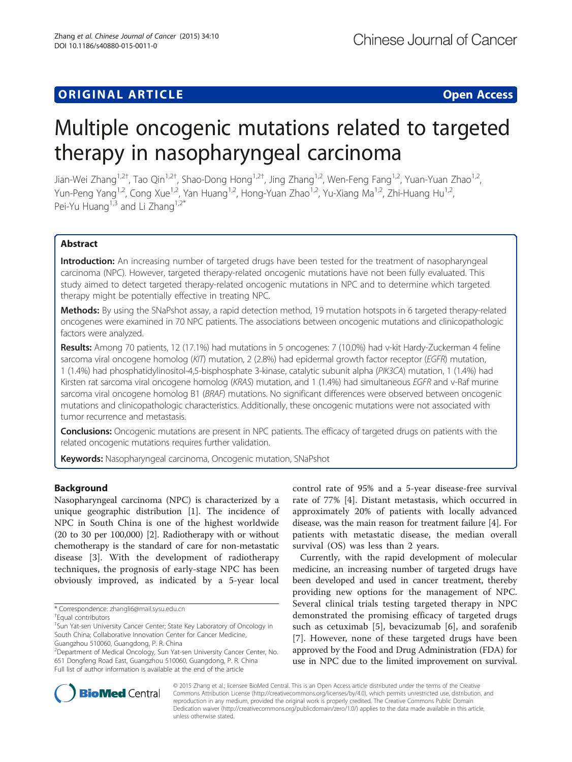## **ORIGINAL ARTICLE CONSUMING A LIGACITY CONSUMING A LIGACITY CONSUMING A LIGACITY CONSUMING A LIGACITY**

# Multiple oncogenic mutations related to targeted therapy in nasopharyngeal carcinoma

Jian-Wei Zhang<sup>1,2†</sup>, Tao Qin<sup>1,2†</sup>, Shao-Dong Hong<sup>1,2†</sup>, Jing Zhang<sup>1,2</sup>, Wen-Feng Fang<sup>1,2</sup>, Yuan-Yuan Zhao<sup>1,2</sup>, Yun-Peng Yang<sup>1,2</sup>, Cong Xue<sup>1,2</sup>, Yan Huang<sup>1,2</sup>, Hong-Yuan Zhao<sup>1,2</sup>, Yu-Xiang Ma<sup>1,2</sup>, Zhi-Huang Hu<sup>1,2</sup>, Pei-Yu Huang<sup>1,3</sup> and Li Zhang<sup>1,2\*</sup>

### Abstract

Introduction: An increasing number of targeted drugs have been tested for the treatment of nasopharyngeal carcinoma (NPC). However, targeted therapy-related oncogenic mutations have not been fully evaluated. This study aimed to detect targeted therapy-related oncogenic mutations in NPC and to determine which targeted therapy might be potentially effective in treating NPC.

Methods: By using the SNaPshot assay, a rapid detection method, 19 mutation hotspots in 6 targeted therapy-related oncogenes were examined in 70 NPC patients. The associations between oncogenic mutations and clinicopathologic factors were analyzed.

Results: Among 70 patients, 12 (17.1%) had mutations in 5 oncogenes: 7 (10.0%) had v-kit Hardy-Zuckerman 4 feline sarcoma viral oncogene homolog (KIT) mutation, 2 (2.8%) had epidermal growth factor receptor (EGFR) mutation, 1 (1.4%) had phosphatidylinositol-4,5-bisphosphate 3-kinase, catalytic subunit alpha (PIK3CA) mutation, 1 (1.4%) had Kirsten rat sarcoma viral oncogene homolog (KRAS) mutation, and 1 (1.4%) had simultaneous EGFR and v-Raf murine sarcoma viral oncogene homolog B1 (BRAF) mutations. No significant differences were observed between oncogenic mutations and clinicopathologic characteristics. Additionally, these oncogenic mutations were not associated with tumor recurrence and metastasis.

Conclusions: Oncogenic mutations are present in NPC patients. The efficacy of targeted drugs on patients with the related oncogenic mutations requires further validation.

Keywords: Nasopharyngeal carcinoma, Oncogenic mutation, SNaPshot

#### Background

Nasopharyngeal carcinoma (NPC) is characterized by a unique geographic distribution [[1\]](#page-5-0). The incidence of NPC in South China is one of the highest worldwide (20 to 30 per 100,000) [[2\]](#page-5-0). Radiotherapy with or without chemotherapy is the standard of care for non-metastatic disease [\[3](#page-5-0)]. With the development of radiotherapy techniques, the prognosis of early-stage NPC has been obviously improved, as indicated by a 5-year local

control rate of 95% and a 5-year disease-free survival rate of 77% [[4\]](#page-5-0). Distant metastasis, which occurred in approximately 20% of patients with locally advanced disease, was the main reason for treatment failure [[4\]](#page-5-0). For patients with metastatic disease, the median overall survival (OS) was less than 2 years.

Currently, with the rapid development of molecular medicine, an increasing number of targeted drugs have been developed and used in cancer treatment, thereby providing new options for the management of NPC. Several clinical trials testing targeted therapy in NPC demonstrated the promising efficacy of targeted drugs such as cetuximab [[5\]](#page-5-0), bevacizumab [[6\]](#page-5-0), and sorafenib [[7\]](#page-5-0). However, none of these targeted drugs have been approved by the Food and Drug Administration (FDA) for use in NPC due to the limited improvement on survival.



© 2015 Zhang et al.; licensee BioMed Central. This is an Open Access article distributed under the terms of the Creative Commons Attribution License [\(http://creativecommons.org/licenses/by/4.0\)](http://creativecommons.org/licenses/by/4.0), which permits unrestricted use, distribution, and reproduction in any medium, provided the original work is properly credited. The Creative Commons Public Domain Dedication waiver [\(http://creativecommons.org/publicdomain/zero/1.0/](http://creativecommons.org/publicdomain/zero/1.0/)) applies to the data made available in this article, unless otherwise stated.

<sup>\*</sup> Correspondence: [zhangli6@mail.sysu.edu.cn](mailto:zhangli6@mail.sysu.edu.cn) †

Equal contributors

<sup>&</sup>lt;sup>1</sup>Sun Yat-sen University Cancer Center; State Key Laboratory of Oncology in South China; Collaborative Innovation Center for Cancer Medicine, Guangzhou 510060, Guangdong, P. R. China

<sup>2</sup> Department of Medical Oncology, Sun Yat-sen University Cancer Center, No. 651 Dongfeng Road East, Guangzhou 510060, Guangdong, P. R. China Full list of author information is available at the end of the article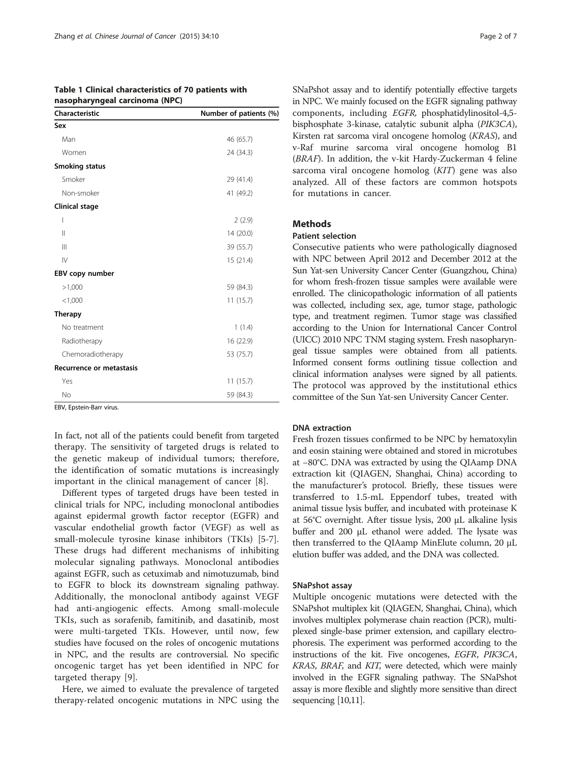| nasopharyngeal carcinoma (NPC)  |                        |
|---------------------------------|------------------------|
| Characteristic                  | Number of patients (%) |
| Sex                             |                        |
| Man                             | 46 (65.7)              |
| Women                           | 24 (34.3)              |
| <b>Smoking status</b>           |                        |
| Smoker                          | 29 (41.4)              |
| Non-smoker                      | 41 (49.2)              |
| Clinical stage                  |                        |
| I                               | 2(2.9)                 |
| $\mathbf{I}$                    | 14 (20.0)              |
| $\mathbb{H}$                    | 39 (55.7)              |
| $\mathsf{IV}$                   | 15(21.4)               |
| EBV copy number                 |                        |
| >1,000                          | 59 (84.3)              |
| < 1,000                         | 11(15.7)               |
| <b>Therapy</b>                  |                        |
| No treatment                    | 1(1.4)                 |
| Radiotherapy                    | 16 (22.9)              |
| Chemoradiotherapy               | 53 (75.7)              |
| <b>Recurrence or metastasis</b> |                        |
| Yes                             | 11(15.7)               |
| No                              | 59 (84.3)              |

<span id="page-1-0"></span>

| Table 1 Clinical characteristics of 70 patients with |  |
|------------------------------------------------------|--|
| nasopharyngeal carcinoma (NPC)                       |  |

EBV, Epstein-Barr virus.

In fact, not all of the patients could benefit from targeted therapy. The sensitivity of targeted drugs is related to the genetic makeup of individual tumors; therefore, the identification of somatic mutations is increasingly important in the clinical management of cancer [[8](#page-5-0)].

Different types of targeted drugs have been tested in clinical trials for NPC, including monoclonal antibodies against epidermal growth factor receptor (EGFR) and vascular endothelial growth factor (VEGF) as well as small-molecule tyrosine kinase inhibitors (TKIs) [[5-7](#page-5-0)]. These drugs had different mechanisms of inhibiting molecular signaling pathways. Monoclonal antibodies against EGFR, such as cetuximab and nimotuzumab, bind to EGFR to block its downstream signaling pathway. Additionally, the monoclonal antibody against VEGF had anti-angiogenic effects. Among small-molecule TKIs, such as sorafenib, famitinib, and dasatinib, most were multi-targeted TKIs. However, until now, few studies have focused on the roles of oncogenic mutations in NPC, and the results are controversial. No specific oncogenic target has yet been identified in NPC for targeted therapy [[9\]](#page-5-0).

Here, we aimed to evaluate the prevalence of targeted therapy-related oncogenic mutations in NPC using the SNaPshot assay and to identify potentially effective targets in NPC. We mainly focused on the EGFR signaling pathway components, including EGFR, phosphatidylinositol-4,5 bisphosphate 3-kinase, catalytic subunit alpha (PIK3CA), Kirsten rat sarcoma viral oncogene homolog (KRAS), and v-Raf murine sarcoma viral oncogene homolog B1 (BRAF). In addition, the v-kit Hardy-Zuckerman 4 feline sarcoma viral oncogene homolog (KIT) gene was also analyzed. All of these factors are common hotspots for mutations in cancer.

#### Methods

#### Patient selection

Consecutive patients who were pathologically diagnosed with NPC between April 2012 and December 2012 at the Sun Yat-sen University Cancer Center (Guangzhou, China) for whom fresh-frozen tissue samples were available were enrolled. The clinicopathologic information of all patients was collected, including sex, age, tumor stage, pathologic type, and treatment regimen. Tumor stage was classified according to the Union for International Cancer Control (UICC) 2010 NPC TNM staging system. Fresh nasopharyngeal tissue samples were obtained from all patients. Informed consent forms outlining tissue collection and clinical information analyses were signed by all patients. The protocol was approved by the institutional ethics committee of the Sun Yat-sen University Cancer Center.

#### DNA extraction

Fresh frozen tissues confirmed to be NPC by hematoxylin and eosin staining were obtained and stored in microtubes at −80°C. DNA was extracted by using the QIAamp DNA extraction kit (QIAGEN, Shanghai, China) according to the manufacturer's protocol. Briefly, these tissues were transferred to 1.5-mL Eppendorf tubes, treated with animal tissue lysis buffer, and incubated with proteinase K at 56°C overnight. After tissue lysis, 200 μL alkaline lysis buffer and 200 μL ethanol were added. The lysate was then transferred to the QIAamp MinElute column, 20 μL elution buffer was added, and the DNA was collected.

#### SNaPshot assay

Multiple oncogenic mutations were detected with the SNaPshot multiplex kit (QIAGEN, Shanghai, China), which involves multiplex polymerase chain reaction (PCR), multiplexed single-base primer extension, and capillary electrophoresis. The experiment was performed according to the instructions of the kit. Five oncogenes, EGFR, PIK3CA, KRAS, BRAF, and KIT, were detected, which were mainly involved in the EGFR signaling pathway. The SNaPshot assay is more flexible and slightly more sensitive than direct sequencing [\[10,11\]](#page-5-0).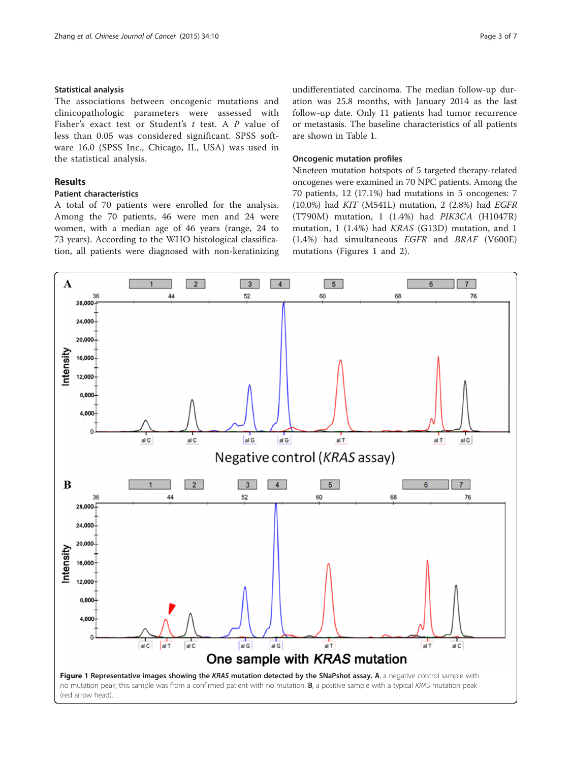#### Statistical analysis

The associations between oncogenic mutations and clinicopathologic parameters were assessed with Fisher's exact test or Student's t test. A P value of less than 0.05 was considered significant. SPSS software 16.0 (SPSS Inc., Chicago, IL, USA) was used in the statistical analysis.

#### Results

#### Patient characteristics

A total of 70 patients were enrolled for the analysis. Among the 70 patients, 46 were men and 24 were women, with a median age of 46 years (range, 24 to 73 years). According to the WHO histological classification, all patients were diagnosed with non-keratinizing

undifferentiated carcinoma. The median follow-up duration was 25.8 months, with January 2014 as the last follow-up date. Only 11 patients had tumor recurrence or metastasis. The baseline characteristics of all patients are shown in Table [1](#page-1-0).

#### Oncogenic mutation profiles

Nineteen mutation hotspots of 5 targeted therapy-related oncogenes were examined in 70 NPC patients. Among the 70 patients, 12 (17.1%) had mutations in 5 oncogenes: 7 (10.0%) had KIT (M541L) mutation, 2 (2.8%) had EGFR (T790M) mutation, 1 (1.4%) had PIK3CA (H1047R) mutation, 1 (1.4%) had KRAS (G13D) mutation, and 1 (1.4%) had simultaneous EGFR and BRAF (V600E) mutations (Figures 1 and [2](#page-3-0)).

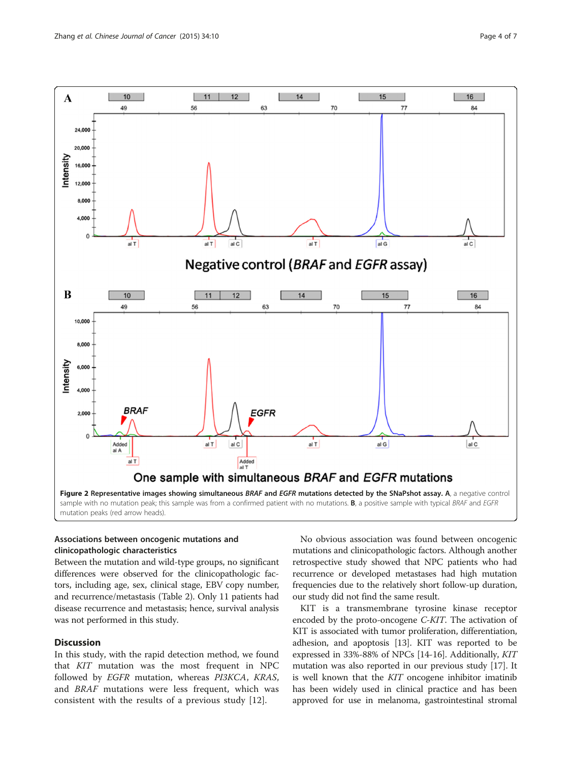<span id="page-3-0"></span>

#### Associations between oncogenic mutations and clinicopathologic characteristics

Between the mutation and wild-type groups, no significant differences were observed for the clinicopathologic factors, including age, sex, clinical stage, EBV copy number, and recurrence/metastasis (Table [2\)](#page-4-0). Only 11 patients had disease recurrence and metastasis; hence, survival analysis was not performed in this study.

#### **Discussion**

In this study, with the rapid detection method, we found that KIT mutation was the most frequent in NPC followed by EGFR mutation, whereas PI3KCA, KRAS, and BRAF mutations were less frequent, which was consistent with the results of a previous study [[12\]](#page-5-0).

No obvious association was found between oncogenic mutations and clinicopathologic factors. Although another retrospective study showed that NPC patients who had recurrence or developed metastases had high mutation frequencies due to the relatively short follow-up duration, our study did not find the same result.

KIT is a transmembrane tyrosine kinase receptor encoded by the proto-oncogene C-KIT. The activation of KIT is associated with tumor proliferation, differentiation, adhesion, and apoptosis [\[13\]](#page-5-0). KIT was reported to be expressed in 33%-88% of NPCs [[14](#page-5-0)-[16](#page-5-0)]. Additionally, KIT mutation was also reported in our previous study [\[17\]](#page-5-0). It is well known that the KIT oncogene inhibitor imatinib has been widely used in clinical practice and has been approved for use in melanoma, gastrointestinal stromal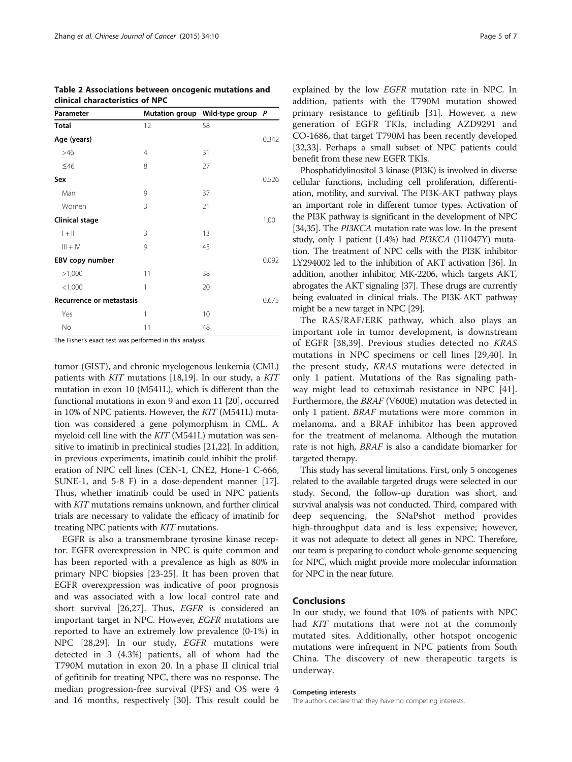| Parameter                |    | Mutation group Wild-type group P |       |
|--------------------------|----|----------------------------------|-------|
| Total                    | 12 | 58                               |       |
| Age (years)              |    |                                  | 0.342 |
| >46                      | 4  | 31                               |       |
| $\leq 46$                | 8  | 27                               |       |
| Sex                      |    |                                  | 0.526 |
| Man                      | 9  | 37                               |       |
| Women                    | 3  | 21                               |       |
| Clinical stage           |    |                                  | 1.00  |
| $ +  $                   | 3  | 13                               |       |
| $III + IV$               | 9  | 45                               |       |
| EBV copy number          |    |                                  | 0.092 |
| >1,000                   | 11 | 38                               |       |
| < 1,000                  | 1  | 20                               |       |
| Recurrence or metastasis |    |                                  | 0.675 |
| Yes                      | 1  | 10                               |       |
| No                       | 11 | 48                               |       |

<span id="page-4-0"></span>Table 2 Associations between oncogenic mutations and clinical characteristics of NPC

The Fisher's exact test was performed in this analysis.

tumor (GIST), and chronic myelogenous leukemia (CML) patients with KIT mutations [[18,19\]](#page-5-0). In our study, a KIT mutation in exon 10 (M541L), which is different than the functional mutations in exon 9 and exon 11 [[20](#page-5-0)], occurred in 10% of NPC patients. However, the KIT (M541L) mutation was considered a gene polymorphism in CML. A myeloid cell line with the KIT (M541L) mutation was sensitive to imatinib in preclinical studies [[21,22](#page-5-0)]. In addition, in previous experiments, imatinib could inhibit the proliferation of NPC cell lines (CEN-1, CNE2, Hone-1 C-666, SUNE-1, and 5-8 F) in a dose-dependent manner [[17](#page-5-0)]. Thus, whether imatinib could be used in NPC patients with *KIT* mutations remains unknown, and further clinical trials are necessary to validate the efficacy of imatinib for treating NPC patients with KIT mutations.

EGFR is also a transmembrane tyrosine kinase receptor. EGFR overexpression in NPC is quite common and has been reported with a prevalence as high as 80% in primary NPC biopsies [[23-25](#page-5-0)]. It has been proven that EGFR overexpression was indicative of poor prognosis and was associated with a low local control rate and short survival [\[26,27\]](#page-5-0). Thus, EGFR is considered an important target in NPC. However, EGFR mutations are reported to have an extremely low prevalence (0-1%) in NPC [\[28,29\]](#page-5-0). In our study, EGFR mutations were detected in 3 (4.3%) patients, all of whom had the T790M mutation in exon 20. In a phase II clinical trial of gefitinib for treating NPC, there was no response. The median progression-free survival (PFS) and OS were 4 and 16 months, respectively [[30\]](#page-5-0). This result could be

explained by the low EGFR mutation rate in NPC. In addition, patients with the T790M mutation showed primary resistance to gefitinib [[31\]](#page-5-0). However, a new generation of EGFR TKIs, including AZD9291 and CO-1686, that target T790M has been recently developed [[32](#page-5-0),[33](#page-5-0)]. Perhaps a small subset of NPC patients could benefit from these new EGFR TKIs.

Phosphatidylinositol 3 kinase (PI3K) is involved in diverse cellular functions, including cell proliferation, differentiation, motility, and survival. The PI3K-AKT pathway plays an important role in different tumor types. Activation of the PI3K pathway is significant in the development of NPC [[34,35\]](#page-5-0). The PI3KCA mutation rate was low. In the present study, only 1 patient (1.4%) had PI3KCA (H1047Y) mutation. The treatment of NPC cells with the PI3K inhibitor LY294002 led to the inhibition of AKT activation [[36](#page-6-0)]. In addition, another inhibitor, MK-2206, which targets AKT, abrogates the AKT signaling [[37](#page-6-0)]. These drugs are currently being evaluated in clinical trials. The PI3K-AKT pathway might be a new target in NPC [[29](#page-5-0)].

The RAS/RAF/ERK pathway, which also plays an important role in tumor development, is downstream of EGFR [[38,39\]](#page-6-0). Previous studies detected no KRAS mutations in NPC specimens or cell lines [\[29](#page-5-0)[,40](#page-6-0)]. In the present study, KRAS mutations were detected in only 1 patient. Mutations of the Ras signaling pathway might lead to cetuximab resistance in NPC [\[41](#page-6-0)]. Furthermore, the BRAF (V600E) mutation was detected in only 1 patient. BRAF mutations were more common in melanoma, and a BRAF inhibitor has been approved for the treatment of melanoma. Although the mutation rate is not high, BRAF is also a candidate biomarker for targeted therapy.

This study has several limitations. First, only 5 oncogenes related to the available targeted drugs were selected in our study. Second, the follow-up duration was short, and survival analysis was not conducted. Third, compared with deep sequencing, the SNaPshot method provides high-throughput data and is less expensive; however, it was not adequate to detect all genes in NPC. Therefore, our team is preparing to conduct whole-genome sequencing for NPC, which might provide more molecular information for NPC in the near future.

#### Conclusions

In our study, we found that 10% of patients with NPC had KIT mutations that were not at the commonly mutated sites. Additionally, other hotspot oncogenic mutations were infrequent in NPC patients from South China. The discovery of new therapeutic targets is underway.

#### Competing interests

The authors declare that they have no competing interests.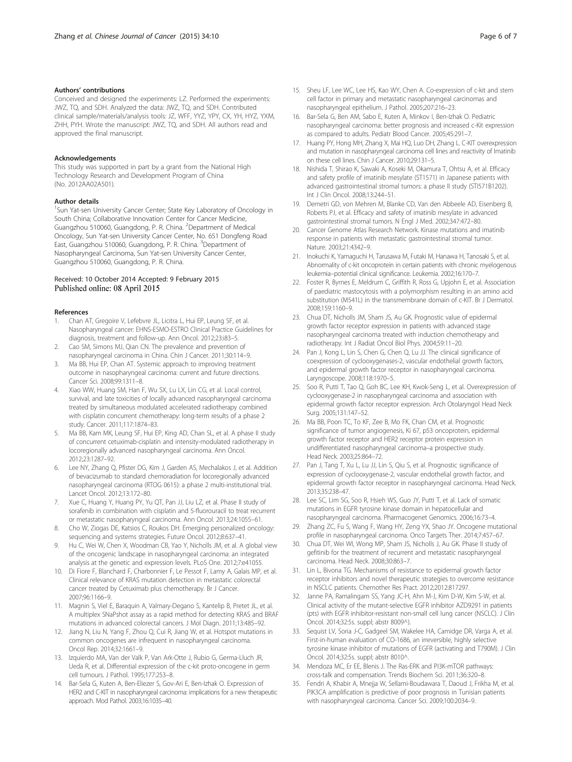#### <span id="page-5-0"></span>Authors' contributions

Conceived and designed the experiments: LZ. Performed the experiments: JWZ, TQ, and SDH. Analyzed the data: JWZ, TQ, and SDH. Contributed clinical sample/materials/analysis tools: JZ, WFF, YYZ, YPY, CX, YH, HYZ, YXM, ZHH, PYH. Wrote the manuscript: JWZ, TQ, and SDH. All authors read and approved the final manuscript.

#### Acknowledgements

This study was supported in part by a grant from the National High Technology Research and Development Program of China (No. 2012AA02A501).

#### Author details

<sup>1</sup>Sun Yat-sen University Cancer Center; State Key Laboratory of Oncology in South China; Collaborative Innovation Center for Cancer Medicine, Guangzhou 510060, Guangdong, P. R. China. <sup>2</sup>Department of Medical Oncology, Sun Yat-sen University Cancer Center, No. 651 Dongfeng Road East, Guangzhou 510060, Guangdong, P. R. China. <sup>3</sup>Department of Nasopharyngeal Carcinoma, Sun Yat-sen University Cancer Center, Guangzhou 510060, Guangdong, P. R. China.

#### Received: 10 October 2014 Accepted: 9 February 2015 Published online: 08 April 2015

#### References

- 1. Chan AT, Gregoire V, Lefebvre JL, Licitra L, Hui EP, Leung SF, et al. Nasopharyngeal cancer: EHNS-ESMO-ESTRO Clinical Practice Guidelines for diagnosis, treatment and follow-up. Ann Oncol. 2012;23:i83–5.
- 2. Cao SM, Simons MJ, Qian CN. The prevalence and prevention of nasopharyngeal carcinoma in China. Chin J Cancer. 2011;30:114–9.
- 3. Ma BB, Hui EP, Chan AT. Systemic approach to improving treatment outcome in nasopharyngeal carcinoma: current and future directions. Cancer Sci. 2008;99:1311–8.
- 4. Xiao WW, Huang SM, Han F, Wu SX, Lu LX, Lin CG, et al. Local control, survival, and late toxicities of locally advanced nasopharyngeal carcinoma treated by simultaneous modulated accelerated radiotherapy combined with cisplatin concurrent chemotherapy: long-term results of a phase 2 study. Cancer. 2011;117:1874–83.
- Ma BB, Kam MK, Leung SF, Hui EP, King AD, Chan SL, et al. A phase II study of concurrent cetuximab-cisplatin and intensity-modulated radiotherapy in locoregionally advanced nasopharyngeal carcinoma. Ann Oncol. 2012;23:1287–92.
- 6. Lee NY, Zhang Q, Pfister DG, Kim J, Garden AS, Mechalakos J, et al. Addition of bevacizumab to standard chemoradiation for locoregionally advanced nasopharyngeal carcinoma (RTOG 0615): a phase 2 multi-institutional trial. Lancet Oncol. 2012;13:172–80.
- Xue C, Huang Y, Huang PY, Yu QT, Pan JJ, Liu LZ, et al. Phase II study of sorafenib in combination with cisplatin and 5-fluorouracil to treat recurrent or metastatic nasopharyngeal carcinoma. Ann Oncol. 2013;24:1055–61.
- 8. Cho W, Ziogas DE, Katsios C, Roukos DH. Emerging personalized oncology: sequencing and systems strategies. Future Oncol. 2012;8:637–41.
- 9. Hu C, Wei W, Chen X, Woodman CB, Yao Y, Nicholls JM, et al. A global view of the oncogenic landscape in nasopharyngeal carcinoma: an integrated analysis at the genetic and expression levels. PLoS One. 2012;7:e41055.
- 10. Di Fiore F, Blanchard F, Charbonnier F, Le Pessot F, Lamy A, Galais MP, et al. Clinical relevance of KRAS mutation detection in metastatic colorectal cancer treated by Cetuximab plus chemotherapy. Br J Cancer. 2007;96:1166–9.
- 11. Magnin S, Viel E, Baraquin A, Valmary-Degano S, Kantelip B, Pretet JL, et al. A multiplex SNaPshot assay as a rapid method for detecting KRAS and BRAF mutations in advanced colorectal cancers. J Mol Diagn. 2011;13:485–92.
- 12. Jiang N, Liu N, Yang F, Zhou Q, Cui R, Jiang W, et al. Hotspot mutations in common oncogenes are infrequent in nasopharyngeal carcinoma. Oncol Rep. 2014;32:1661–9.
- 13. Izquierdo MA, Van der Valk P, Van Ark-Otte J, Rubio G, Germa-Lluch JR, Ueda R, et al. Differential expression of the c-kit proto-oncogene in germ cell tumours. J Pathol. 1995;177:253–8.
- 14. Bar-Sela G, Kuten A, Ben-Eliezer S, Gov-Ari E, Ben-Izhak O. Expression of HER2 and C-KIT in nasopharyngeal carcinoma: implications for a new therapeutic approach. Mod Pathol. 2003;16:1035–40.
- 15. Sheu LF, Lee WC, Lee HS, Kao WY, Chen A. Co-expression of c-kit and stem cell factor in primary and metastatic nasopharyngeal carcinomas and nasopharyngeal epithelium. J Pathol. 2005;207:216–23.
- 16. Bar-Sela G, Ben AM, Sabo E, Kuten A, Minkov I, Ben-Izhak O. Pediatric nasopharyngeal carcinoma: better prognosis and increased c-Kit expression as compared to adults. Pediatr Blood Cancer. 2005;45:291–7.
- 17. Huang PY, Hong MH, Zhang X, Mai HQ, Luo DH, Zhang L. C-KIT overexpression and mutation in nasopharyngeal carcinoma cell lines and reactivity of Imatinib on these cell lines. Chin J Cancer. 2010;29:131–5.
- 18. Nishida T, Shirao K, Sawaki A, Koseki M, Okamura T, Ohtsu A, et al. Efficacy and safety profile of imatinib mesylate (ST1571) in Japanese patients with advanced gastrointestinal stromal tumors: a phase II study (STI571B1202). Int J Clin Oncol. 2008;13:244–51.
- 19. Demetri GD, von Mehren M, Blanke CD, Van den Abbeele AD, Eisenberg B, Roberts PJ, et al. Efficacy and safety of imatinib mesylate in advanced gastrointestinal stromal tumors. N Engl J Med. 2002;347:472–80.
- 20. Cancer Genome Atlas Research Network. Kinase mutations and imatinib response in patients with metastatic gastrointestinal stromal tumor. Nature. 2003;21:4342–9.
- 21. Inokuchi K, Yamaguchi H, Tarusawa M, Futaki M, Hanawa H, Tanosaki S, et al. Abnormality of c-kit oncoprotein in certain patients with chronic myelogenous leukemia–potential clinical significance. Leukemia. 2002;16:170–7.
- 22. Foster R, Byrnes E, Meldrum C, Griffith R, Ross G, Upjohn E, et al. Association of paediatric mastocytosis with a polymorphism resulting in an amino acid substitution (M541L) in the transmembrane domain of c-KIT. Br J Dermatol. 2008;159:1160–9.
- 23. Chua DT, Nicholls JM, Sham JS, Au GK. Prognostic value of epidermal growth factor receptor expression in patients with advanced stage nasopharyngeal carcinoma treated with induction chemotherapy and radiotherapy. Int J Radiat Oncol Biol Phys. 2004;59:11–20.
- 24. Pan J, Kong L, Lin S, Chen G, Chen Q, Lu JJ. The clinical significance of coexpression of cyclooxygenases-2, vascular endothelial growth factors, and epidermal growth factor receptor in nasopharyngeal carcinoma. Laryngoscope. 2008;118:1970–5.
- 25. Soo R, Putti T, Tao Q, Goh BC, Lee KH, Kwok-Seng L, et al. Overexpression of cyclooxygenase-2 in nasopharyngeal carcinoma and association with epidermal growth factor receptor expression. Arch Otolaryngol Head Neck Surg. 2005;131:147–52.
- 26. Ma BB, Poon TC, To KF, Zee B, Mo FK, Chan CM, et al. Prognostic significance of tumor angiogenesis, Ki 67, p53 oncoprotein, epidermal growth factor receptor and HER2 receptor protein expression in undifferentiated nasopharyngeal carcinoma–a prospective study. Head Neck. 2003;25:864–72.
- 27. Pan J, Tang T, Xu L, Lu JJ, Lin S, Qiu S, et al. Prognostic significance of expression of cyclooxygenase-2, vascular endothelial growth factor, and epidermal growth factor receptor in nasopharyngeal carcinoma. Head Neck. 2013;35:238–47.
- 28. Lee SC, Lim SG, Soo R, Hsieh WS, Guo JY, Putti T, et al. Lack of somatic mutations in EGFR tyrosine kinase domain in hepatocellular and nasopharyngeal carcinoma. Pharmacogenet Genomics. 2006;16:73–4.
- 29. Zhang ZC, Fu S, Wang F, Wang HY, Zeng YX, Shao JY. Oncogene mutational profile in nasopharyngeal carcinoma. Onco Targets Ther. 2014;7:457–67.
- 30. Chua DT, Wei WI, Wong MP, Sham JS, Nicholls J, Au GK. Phase II study of gefitinib for the treatment of recurrent and metastatic nasopharyngeal carcinoma. Head Neck. 2008;30:863–7.
- 31. Lin L, Bivona TG. Mechanisms of resistance to epidermal growth factor receptor inhibitors and novel therapeutic strategies to overcome resistance in NSCLC patients. Chemother Res Pract. 2012;2012:817297.
- 32. Janne PA, Ramalingam SS, Yang JC-H, Ahn M-J, Kim D-W, Kim S-W, et al. Clinical activity of the mutant-selective EGFR inhibitor AZD9291 in patients (pts) with EGFR inhibitor-resistant non-small cell lung cancer (NSCLC). J Clin Oncol. 2014;32:5s. suppl; abstr 8009^).
- 33. Sequist LV, Soria J-C, Gadgeel SM, Wakelee HA, Camidge DR, Varga A, et al. First-in-human evaluation of CO-1686, an irreversible, highly selective tyrosine kinase inhibitor of mutations of EGFR (activating and T790M). J Clin Oncol. 2014;32:5s. suppl; abstr 8010^.
- 34. Mendoza MC, Er EE, Blenis J. The Ras-ERK and PI3K-mTOR pathways: cross-talk and compensation. Trends Biochem Sci. 2011;36:320–8.
- 35. Fendri A, Khabir A, Mnejja W, Sellami-Boudawara T, Daoud J, Frikha M, et al. PIK3CA amplification is predictive of poor prognosis in Tunisian patients with nasopharyngeal carcinoma. Cancer Sci. 2009;100:2034–9.